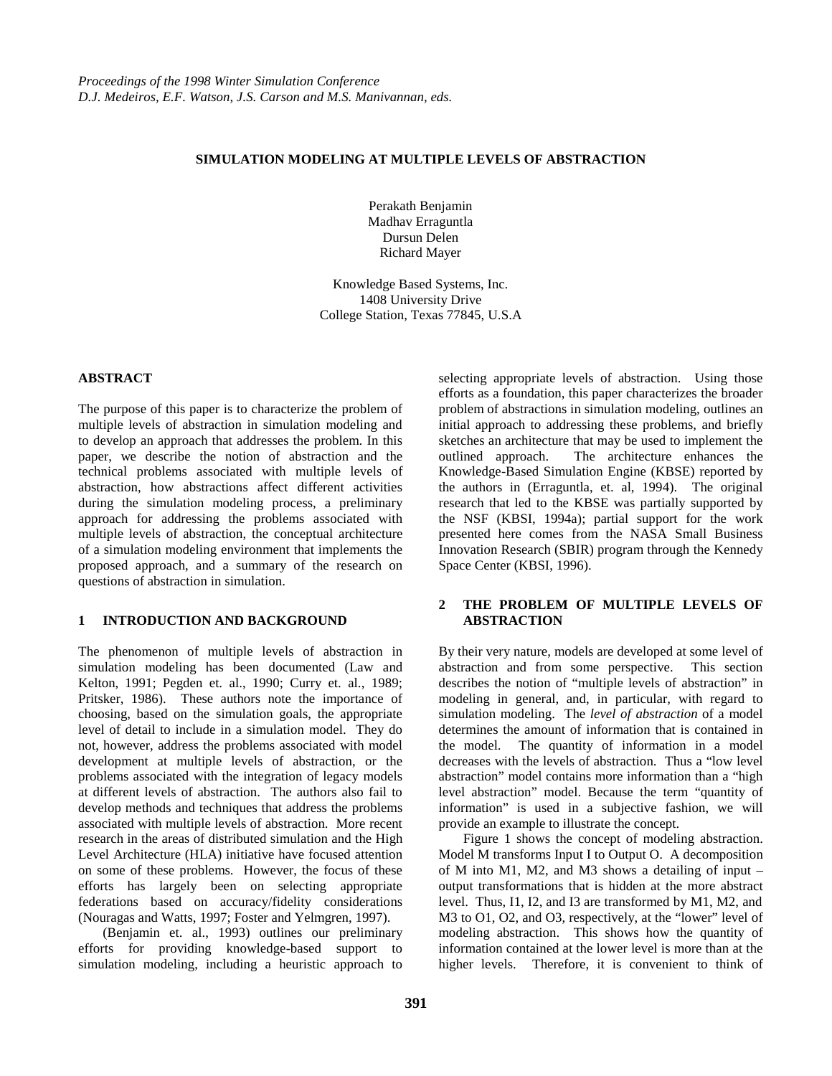## **SIMULATION MODELING AT MULTIPLE LEVELS OF ABSTRACTION**

Perakath Benjamin Madhav Erraguntla Dursun Delen Richard Mayer

Knowledge Based Systems, Inc. 1408 University Drive College Station, Texas 77845, U.S.A

### **ABSTRACT**

The purpose of this paper is to characterize the problem of multiple levels of abstraction in simulation modeling and to develop an approach that addresses the problem. In this paper, we describe the notion of abstraction and the technical problems associated with multiple levels of abstraction, how abstractions affect different activities during the simulation modeling process, a preliminary approach for addressing the problems associated with multiple levels of abstraction, the conceptual architecture of a simulation modeling environment that implements the proposed approach, and a summary of the research on questions of abstraction in simulation.

## **1 INTRODUCTION AND BACKGROUND**

The phenomenon of multiple levels of abstraction in simulation modeling has been documented (Law and Kelton, 1991; Pegden et. al., 1990; Curry et. al., 1989; Pritsker, 1986). These authors note the importance of choosing, based on the simulation goals, the appropriate level of detail to include in a simulation model. They do not, however, address the problems associated with model development at multiple levels of abstraction, or the problems associated with the integration of legacy models at different levels of abstraction. The authors also fail to develop methods and techniques that address the problems associated with multiple levels of abstraction. More recent research in the areas of distributed simulation and the High Level Architecture (HLA) initiative have focused attention on some of these problems. However, the focus of these efforts has largely been on selecting appropriate federations based on accuracy/fidelity considerations (Nouragas and Watts, 1997; Foster and Yelmgren, 1997).

(Benjamin et. al., 1993) outlines our preliminary efforts for providing knowledge-based support to simulation modeling, including a heuristic approach to

selecting appropriate levels of abstraction. Using those efforts as a foundation, this paper characterizes the broader problem of abstractions in simulation modeling, outlines an initial approach to addressing these problems, and briefly sketches an architecture that may be used to implement the outlined approach. The architecture enhances the Knowledge-Based Simulation Engine (KBSE) reported by the authors in (Erraguntla, et. al, 1994). The original research that led to the KBSE was partially supported by the NSF (KBSI, 1994a); partial support for the work presented here comes from the NASA Small Business Innovation Research (SBIR) program through the Kennedy Space Center (KBSI, 1996).

#### **2 THE PROBLEM OF MULTIPLE LEVELS OF ABSTRACTION**

By their very nature, models are developed at some level of abstraction and from some perspective. This section describes the notion of "multiple levels of abstraction" in modeling in general, and, in particular, with regard to simulation modeling. The *level of abstraction* of a model determines the amount of information that is contained in the model. The quantity of information in a model decreases with the levels of abstraction. Thus a "low level abstraction" model contains more information than a "high level abstraction" model. Because the term "quantity of information" is used in a subjective fashion, we will provide an example to illustrate the concept.

Figure 1 shows the concept of modeling abstraction. Model M transforms Input I to Output O. A decomposition of M into M1, M2, and M3 shows a detailing of input  $$ output transformations that is hidden at the more abstract level. Thus, I1, I2, and I3 are transformed by M1, M2, and M3 to O1, O2, and O3, respectively, at the "lower" level of modeling abstraction. This shows how the quantity of information contained at the lower level is more than at the higher levels. Therefore, it is convenient to think of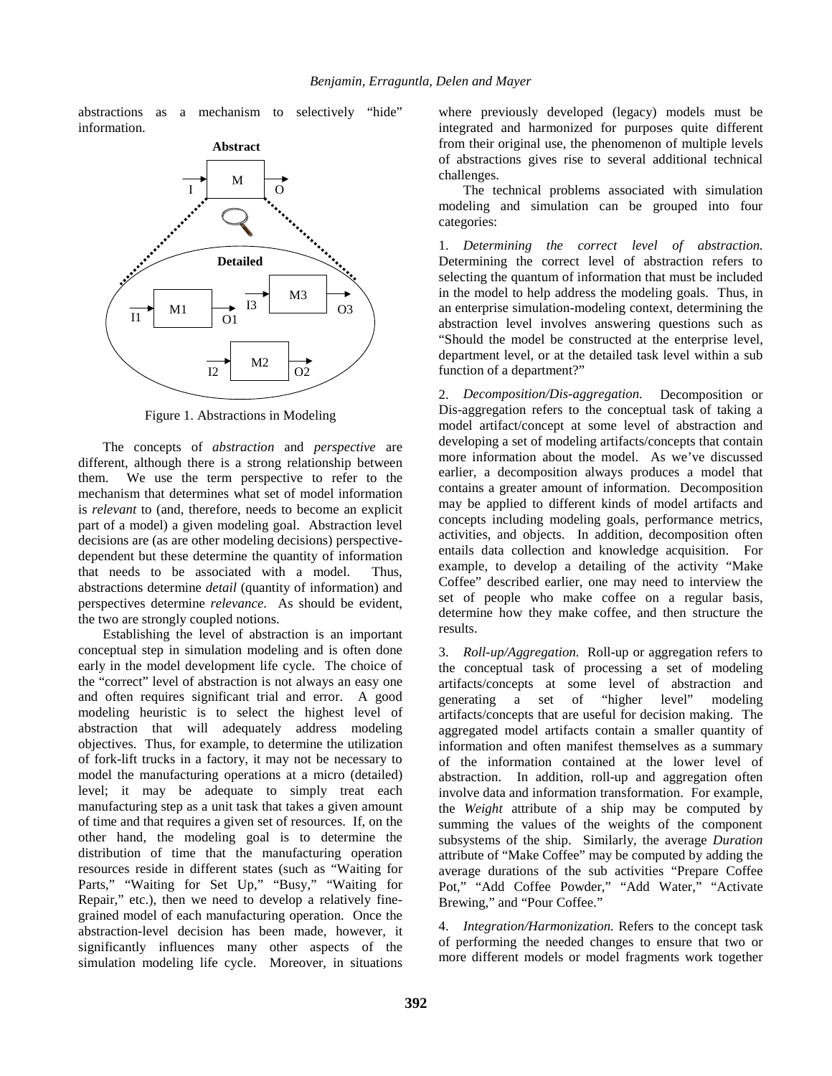abstractions as a mechanism to selectively "hide" information.



Figure 1. Abstractions in Modeling

The concepts of *abstraction* and *perspective* are different, although there is a strong relationship between them. We use the term perspective to refer to the mechanism that determines what set of model information is *relevant* to (and, therefore, needs to become an explicit part of a model) a given modeling goal. Abstraction level decisions are (as are other modeling decisions) perspectivedependent but these determine the quantity of information that needs to be associated with a model. Thus, abstractions determine *detail* (quantity of information) and perspectives determine *relevance*. As should be evident, the two are strongly coupled notions.

Establishing the level of abstraction is an important conceptual step in simulation modeling and is often done early in the model development life cycle. The choice of the "correct" level of abstraction is not always an easy one and often requires significant trial and error. A good modeling heuristic is to select the highest level of abstraction that will adequately address modeling objectives. Thus, for example, to determine the utilization of fork-lift trucks in a factory, it may not be necessary to model the manufacturing operations at a micro (detailed) level; it may be adequate to simply treat each manufacturing step as a unit task that takes a given amount of time and that requires a given set of resources. If, on the other hand, the modeling goal is to determine the distribution of time that the manufacturing operation resources reside in different states (such as "Waiting for Parts," "Waiting for Set Up," "Busy," "Waiting for Repair," etc.), then we need to develop a relatively finegrained model of each manufacturing operation. Once the abstraction-level decision has been made, however, it significantly influences many other aspects of the simulation modeling life cycle. Moreover, in situations

where previously developed (legacy) models must be integrated and harmonized for purposes quite different from their original use, the phenomenon of multiple levels of abstractions gives rise to several additional technical challenges.

The technical problems associated with simulation modeling and simulation can be grouped into four categories:

1. *Determining the correct level of abstraction*. Determining the correct level of abstraction refers to selecting the quantum of information that must be included in the model to help address the modeling goals. Thus, in an enterprise simulation-modeling context, determining the abstraction level involves answering questions such as "Should the model be constructed at the enterprise level, department level, or at the detailed task level within a sub function of a department?"

2. *Decomposition/Dis-aggregation.* Decomposition or Dis-aggregation refers to the conceptual task of taking a model artifact/concept at some level of abstraction and developing a set of modeling artifacts/concepts that contain more information about the model. As we've discussed earlier, a decomposition always produces a model that contains a greater amount of information. Decomposition may be applied to different kinds of model artifacts and concepts including modeling goals, performance metrics, activities, and objects. In addition, decomposition often entails data collection and knowledge acquisition. For example, to develop a detailing of the activity "Make Coffee" described earlier, one may need to interview the set of people who make coffee on a regular basis, determine how they make coffee, and then structure the results.

3. *Roll-up/Aggregation.* Roll-up or aggregation refers to the conceptual task of processing a set of modeling artifacts/concepts at some level of abstraction and generating a set of "higher level" modeling artifacts/concepts that are useful for decision making. The aggregated model artifacts contain a smaller quantity of information and often manifest themselves as a summary of the information contained at the lower level of abstraction. In addition, roll-up and aggregation often involve data and information transformation. For example, the *Weight* attribute of a ship may be computed by summing the values of the weights of the component subsystems of the ship. Similarly, the average *Duration* attribute of "Make Coffee" may be computed by adding the average durations of the sub activities "Prepare Coffee Pot," "Add Coffee Powder," "Add Water," "Activate Brewing," and "Pour Coffee."

4. *Integration/Harmonization.* Refers to the concept task of performing the needed changes to ensure that two or more different models or model fragments work together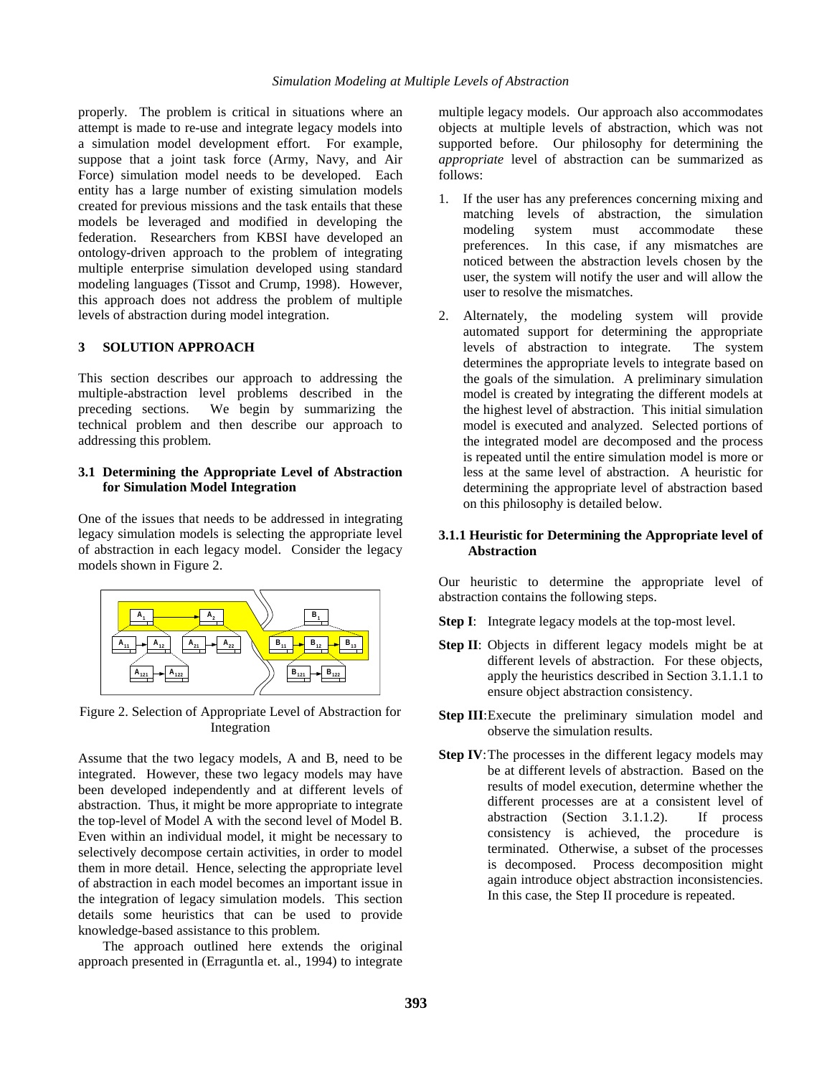properly. The problem is critical in situations where an attempt is made to re-use and integrate legacy models into a simulation model development effort. For example, suppose that a joint task force (Army, Navy, and Air Force) simulation model needs to be developed. Each entity has a large number of existing simulation models created for previous missions and the task entails that these models be leveraged and modified in developing the federation. Researchers from KBSI have developed an ontology-driven approach to the problem of integrating multiple enterprise simulation developed using standard modeling languages (Tissot and Crump, 1998). However, this approach does not address the problem of multiple levels of abstraction during model integration.

## **3 SOLUTION APPROACH**

This section describes our approach to addressing the multiple-abstraction level problems described in the preceding sections. We begin by summarizing the technical problem and then describe our approach to addressing this problem.

#### **3.1 Determining the Appropriate Level of Abstraction for Simulation Model Integration**

One of the issues that needs to be addressed in integrating legacy simulation models is selecting the appropriate level of abstraction in each legacy model. Consider the legacy models shown in Figure 2.



Figure 2. Selection of Appropriate Level of Abstraction for Integration

Assume that the two legacy models, A and B, need to be integrated. However, these two legacy models may have been developed independently and at different levels of abstraction. Thus, it might be more appropriate to integrate the top-level of Model A with the second level of Model B. Even within an individual model, it might be necessary to selectively decompose certain activities, in order to model them in more detail. Hence, selecting the appropriate level of abstraction in each model becomes an important issue in the integration of legacy simulation models. This section details some heuristics that can be used to provide knowledge-based assistance to this problem.

The approach outlined here extends the original approach presented in (Erraguntla et. al., 1994) to integrate multiple legacy models. Our approach also accommodates objects at multiple levels of abstraction, which was not supported before. Our philosophy for determining the *appropriate* level of abstraction can be summarized as follows:

- 1. If the user has any preferences concerning mixing and matching levels of abstraction, the simulation modeling system must accommodate these preferences. In this case, if any mismatches are noticed between the abstraction levels chosen by the user, the system will notify the user and will allow the user to resolve the mismatches.
- 2. Alternately, the modeling system will provide automated support for determining the appropriate levels of abstraction to integrate. The system determines the appropriate levels to integrate based on the goals of the simulation. A preliminary simulation model is created by integrating the different models at the highest level of abstraction. This initial simulation model is executed and analyzed. Selected portions of the integrated model are decomposed and the process is repeated until the entire simulation model is more or less at the same level of abstraction. A heuristic for determining the appropriate level of abstraction based on this philosophy is detailed below.

#### **3.1.1 Heuristic for Determining the Appropriate level of Abstraction**

Our heuristic to determine the appropriate level of abstraction contains the following steps.

- **Step I**: Integrate legacy models at the top-most level.
- **Step II**: Objects in different legacy models might be at different levels of abstraction. For these objects, apply the heuristics described in Section 3.1.1.1 to ensure object abstraction consistency.
- **Step III**:Execute the preliminary simulation model and observe the simulation results.
- **Step IV:** The processes in the different legacy models may be at different levels of abstraction. Based on the results of model execution, determine whether the different processes are at a consistent level of abstraction (Section 3.1.1.2). If process consistency is achieved, the procedure is terminated. Otherwise, a subset of the processes is decomposed. Process decomposition might again introduce object abstraction inconsistencies. In this case, the Step II procedure is repeated.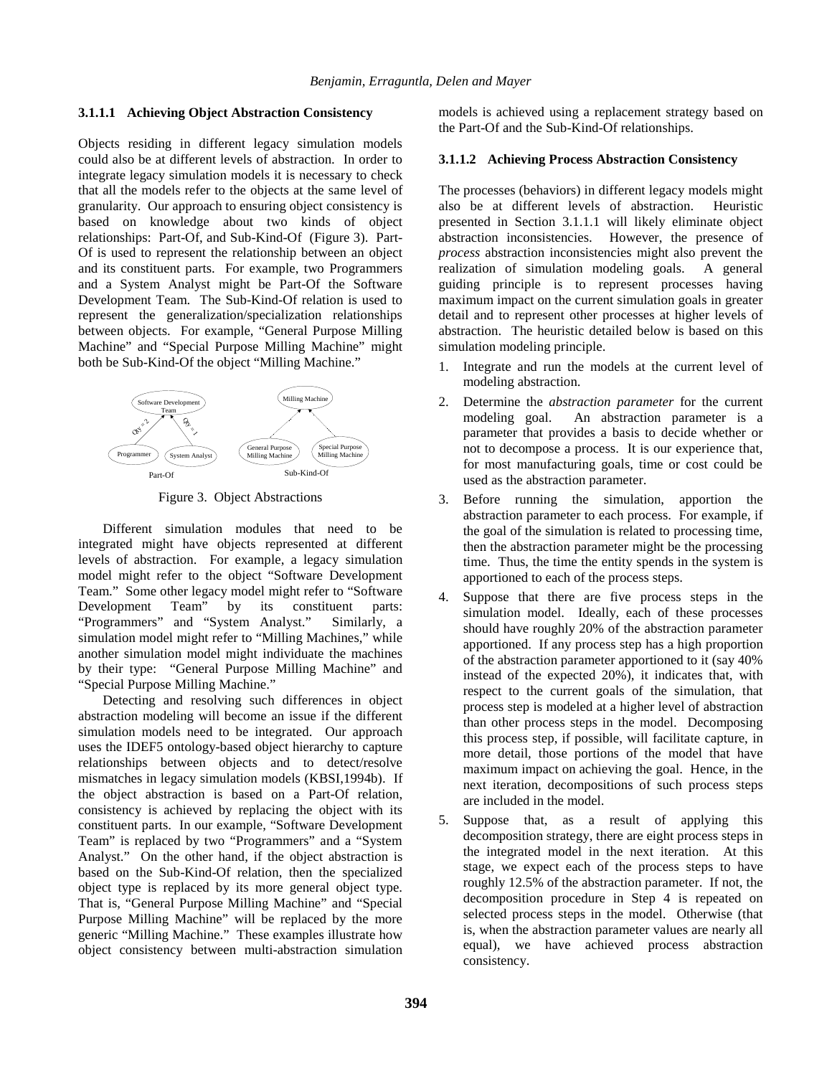## **3.1.1.1 Achieving Object Abstraction Consistency**

Objects residing in different legacy simulation models could also be at different levels of abstraction. In order to integrate legacy simulation models it is necessary to check that all the models refer to the objects at the same level of granularity. Our approach to ensuring object consistency is based on knowledge about two kinds of object relationships: Part-Of, and Sub-Kind-Of (Figure 3). Part-Of is used to represent the relationship between an object and its constituent parts. For example, two Programmers and a System Analyst might be Part-Of the Software Development Team. The Sub-Kind-Of relation is used to represent the generalization/specialization relationships between objects. For example, "General Purpose Milling Machine" and "Special Purpose Milling Machine" might both be Sub-Kind-Of the object "Milling Machine."



Figure 3. Object Abstractions

Different simulation modules that need to be integrated might have objects represented at different levels of abstraction. For example, a legacy simulation model might refer to the object "Software Development Team." Some other legacy model might refer to "Software Development Team" by its constituent parts: "Programmers" and "System Analyst." Similarly, a simulation model might refer to "Milling Machines," while another simulation model might individuate the machines by their type: "General Purpose Milling Machine" and "Special Purpose Milling Machine."

Detecting and resolving such differences in object abstraction modeling will become an issue if the different simulation models need to be integrated. Our approach uses the IDEF5 ontology-based object hierarchy to capture relationships between objects and to detect/resolve mismatches in legacy simulation models (KBSI,1994b). If the object abstraction is based on a Part-Of relation, consistency is achieved by replacing the object with its constituent parts. In our example, "Software Development Team" is replaced by two "Programmers" and a "System Analyst." On the other hand, if the object abstraction is based on the Sub-Kind-Of relation, then the specialized object type is replaced by its more general object type. That is, "General Purpose Milling Machine" and "Special Purpose Milling Machine" will be replaced by the more generic "Milling Machine." These examples illustrate how object consistency between multi-abstraction simulation

models is achieved using a replacement strategy based on the Part-Of and the Sub-Kind-Of relationships.

## **3.1.1.2 Achieving Process Abstraction Consistency**

The processes (behaviors) in different legacy models might also be at different levels of abstraction. Heuristic presented in Section 3.1.1.1 will likely eliminate object abstraction inconsistencies. However, the presence of *process* abstraction inconsistencies might also prevent the realization of simulation modeling goals. A general guiding principle is to represent processes having maximum impact on the current simulation goals in greater detail and to represent other processes at higher levels of abstraction. The heuristic detailed below is based on this simulation modeling principle.

- 1. Integrate and run the models at the current level of modeling abstraction.
- 2. Determine the *abstraction parameter* for the current modeling goal. An abstraction parameter is a parameter that provides a basis to decide whether or not to decompose a process. It is our experience that, for most manufacturing goals, time or cost could be used as the abstraction parameter.
- 3. Before running the simulation, apportion the abstraction parameter to each process. For example, if the goal of the simulation is related to processing time, then the abstraction parameter might be the processing time. Thus, the time the entity spends in the system is apportioned to each of the process steps.
- 4. Suppose that there are five process steps in the simulation model. Ideally, each of these processes should have roughly 20% of the abstraction parameter apportioned. If any process step has a high proportion of the abstraction parameter apportioned to it (say 40% instead of the expected 20%), it indicates that, with respect to the current goals of the simulation, that process step is modeled at a higher level of abstraction than other process steps in the model. Decomposing this process step, if possible, will facilitate capture, in more detail, those portions of the model that have maximum impact on achieving the goal. Hence, in the next iteration, decompositions of such process steps are included in the model.
- 5. Suppose that, as a result of applying this decomposition strategy, there are eight process steps in the integrated model in the next iteration. At this stage, we expect each of the process steps to have roughly 12.5% of the abstraction parameter. If not, the decomposition procedure in Step 4 is repeated on selected process steps in the model. Otherwise (that is, when the abstraction parameter values are nearly all equal), we have achieved process abstraction consistency.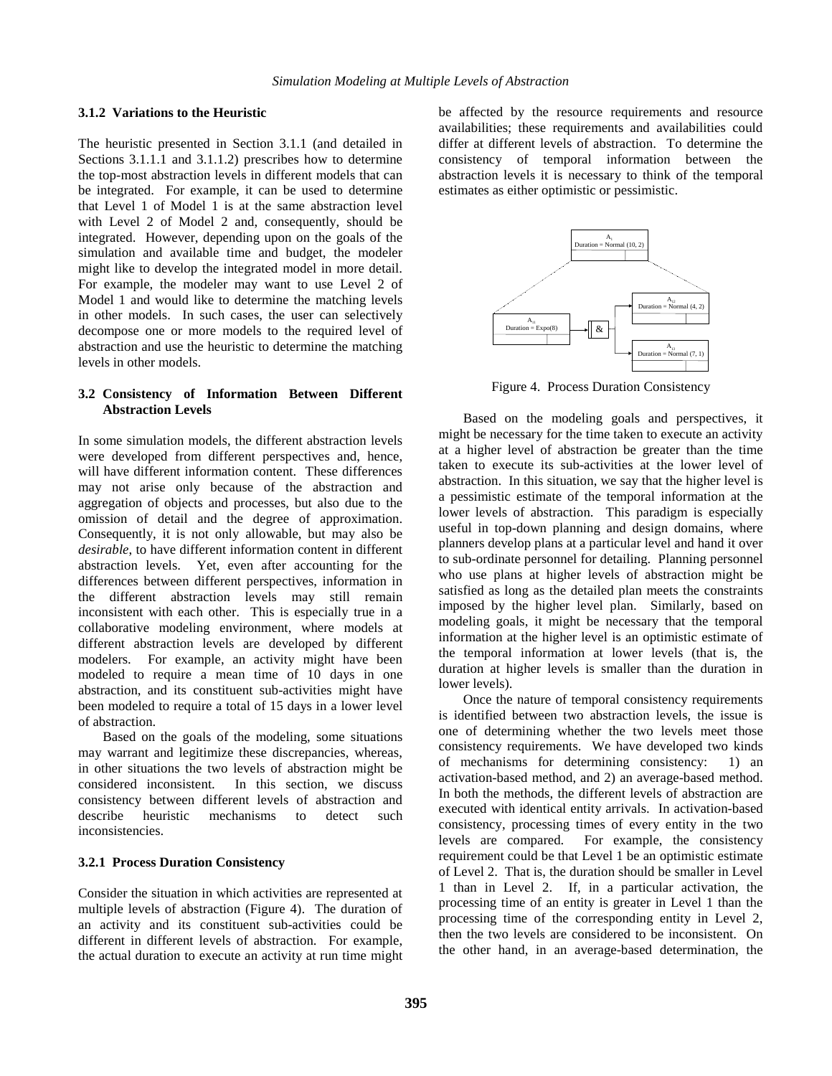### **3.1.2 Variations to the Heuristic**

The heuristic presented in Section 3.1.1 (and detailed in Sections 3.1.1.1 and 3.1.1.2) prescribes how to determine the top-most abstraction levels in different models that can be integrated. For example, it can be used to determine that Level 1 of Model 1 is at the same abstraction level with Level 2 of Model 2 and, consequently, should be integrated. However, depending upon on the goals of the simulation and available time and budget, the modeler might like to develop the integrated model in more detail. For example, the modeler may want to use Level 2 of Model 1 and would like to determine the matching levels in other models. In such cases, the user can selectively decompose one or more models to the required level of abstraction and use the heuristic to determine the matching levels in other models.

## **3.2 Consistency of Information Between Different Abstraction Levels**

In some simulation models, the different abstraction levels were developed from different perspectives and, hence, will have different information content. These differences may not arise only because of the abstraction and aggregation of objects and processes, but also due to the omission of detail and the degree of approximation. Consequently, it is not only allowable, but may also be *desirable*, to have different information content in different abstraction levels. Yet, even after accounting for the differences between different perspectives, information in the different abstraction levels may still remain inconsistent with each other. This is especially true in a collaborative modeling environment, where models at different abstraction levels are developed by different modelers. For example, an activity might have been modeled to require a mean time of 10 days in one abstraction, and its constituent sub-activities might have been modeled to require a total of 15 days in a lower level of abstraction.

Based on the goals of the modeling, some situations may warrant and legitimize these discrepancies, whereas, in other situations the two levels of abstraction might be considered inconsistent. In this section, we discuss consistency between different levels of abstraction and describe heuristic mechanisms to detect such inconsistencies.

# **3.2.1 Process Duration Consistency**

Consider the situation in which activities are represented at multiple levels of abstraction (Figure 4). The duration of an activity and its constituent sub-activities could be different in different levels of abstraction. For example, the actual duration to execute an activity at run time might be affected by the resource requirements and resource availabilities; these requirements and availabilities could differ at different levels of abstraction. To determine the consistency of temporal information between the abstraction levels it is necessary to think of the temporal estimates as either optimistic or pessimistic.



Figure 4. Process Duration Consistency

Based on the modeling goals and perspectives, it might be necessary for the time taken to execute an activity at a higher level of abstraction be greater than the time taken to execute its sub-activities at the lower level of abstraction. In this situation, we say that the higher level is a pessimistic estimate of the temporal information at the lower levels of abstraction. This paradigm is especially useful in top-down planning and design domains, where planners develop plans at a particular level and hand it over to sub-ordinate personnel for detailing. Planning personnel who use plans at higher levels of abstraction might be satisfied as long as the detailed plan meets the constraints imposed by the higher level plan. Similarly, based on modeling goals, it might be necessary that the temporal information at the higher level is an optimistic estimate of the temporal information at lower levels (that is, the duration at higher levels is smaller than the duration in lower levels).

Once the nature of temporal consistency requirements is identified between two abstraction levels, the issue is one of determining whether the two levels meet those consistency requirements. We have developed two kinds of mechanisms for determining consistency: 1) an activation-based method, and 2) an average-based method. In both the methods, the different levels of abstraction are executed with identical entity arrivals. In activation-based consistency, processing times of every entity in the two levels are compared. For example, the consistency requirement could be that Level 1 be an optimistic estimate of Level 2. That is, the duration should be smaller in Level 1 than in Level 2. If, in a particular activation, the processing time of an entity is greater in Level 1 than the processing time of the corresponding entity in Level 2, then the two levels are considered to be inconsistent. On the other hand, in an average-based determination, the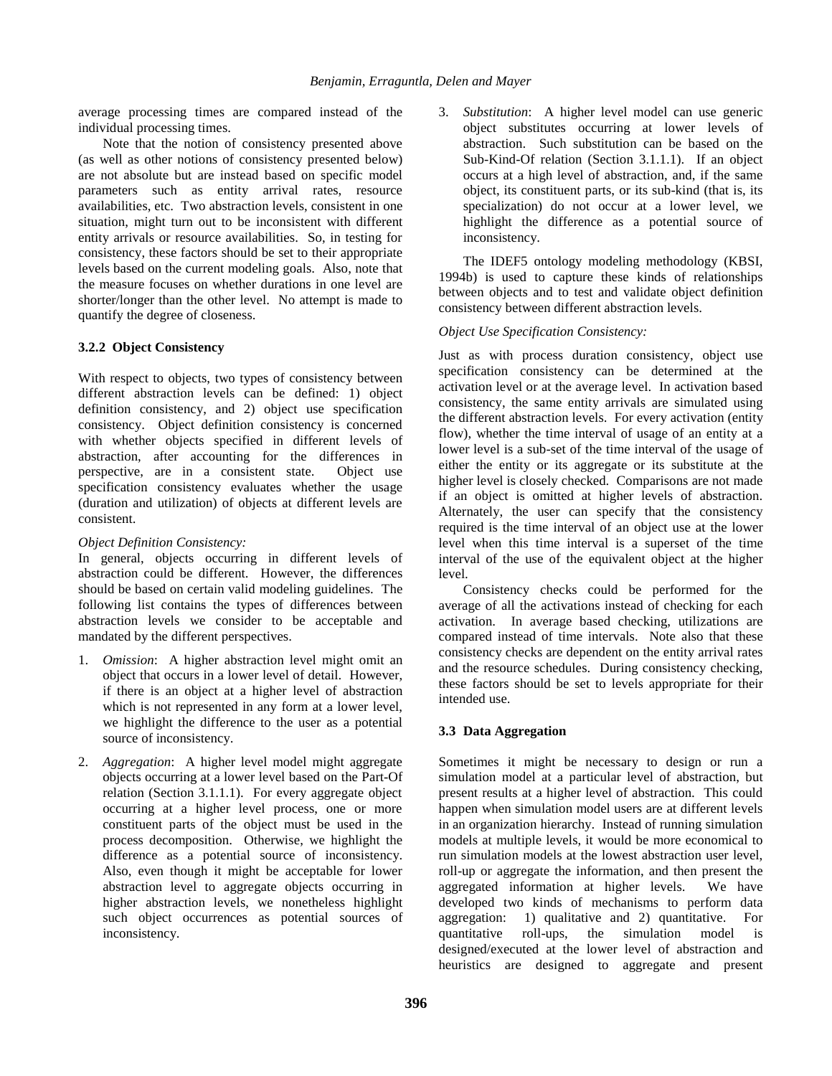average processing times are compared instead of the individual processing times.

Note that the notion of consistency presented above (as well as other notions of consistency presented below) are not absolute but are instead based on specific model parameters such as entity arrival rates, resource availabilities, etc. Two abstraction levels, consistent in one situation, might turn out to be inconsistent with different entity arrivals or resource availabilities. So, in testing for consistency, these factors should be set to their appropriate levels based on the current modeling goals. Also, note that the measure focuses on whether durations in one level are shorter/longer than the other level. No attempt is made to quantify the degree of closeness.

# **3.2.2 Object Consistency**

With respect to objects, two types of consistency between different abstraction levels can be defined: 1) object definition consistency, and 2) object use specification consistency. Object definition consistency is concerned with whether objects specified in different levels of abstraction, after accounting for the differences in perspective, are in a consistent state. Object use specification consistency evaluates whether the usage (duration and utilization) of objects at different levels are consistent.

## *Object Definition Consistency:*

In general, objects occurring in different levels of abstraction could be different. However, the differences should be based on certain valid modeling guidelines. The following list contains the types of differences between abstraction levels we consider to be acceptable and mandated by the different perspectives.

- 1. *Omission*: A higher abstraction level might omit an object that occurs in a lower level of detail. However, if there is an object at a higher level of abstraction which is not represented in any form at a lower level, we highlight the difference to the user as a potential source of inconsistency.
- 2. *Aggregation*: A higher level model might aggregate objects occurring at a lower level based on the Part-Of relation (Section 3.1.1.1). For every aggregate object occurring at a higher level process, one or more constituent parts of the object must be used in the process decomposition. Otherwise, we highlight the difference as a potential source of inconsistency. Also, even though it might be acceptable for lower abstraction level to aggregate objects occurring in higher abstraction levels, we nonetheless highlight such object occurrences as potential sources of inconsistency.

3. *Substitution*: A higher level model can use generic object substitutes occurring at lower levels of abstraction. Such substitution can be based on the Sub-Kind-Of relation (Section 3.1.1.1). If an object occurs at a high level of abstraction, and, if the same object, its constituent parts, or its sub-kind (that is, its specialization) do not occur at a lower level, we highlight the difference as a potential source of inconsistency.

The IDEF5 ontology modeling methodology (KBSI, 1994b) is used to capture these kinds of relationships between objects and to test and validate object definition consistency between different abstraction levels.

## *Object Use Specification Consistency:*

Just as with process duration consistency, object use specification consistency can be determined at the activation level or at the average level. In activation based consistency, the same entity arrivals are simulated using the different abstraction levels. For every activation (entity flow), whether the time interval of usage of an entity at a lower level is a sub-set of the time interval of the usage of either the entity or its aggregate or its substitute at the higher level is closely checked. Comparisons are not made if an object is omitted at higher levels of abstraction. Alternately, the user can specify that the consistency required is the time interval of an object use at the lower level when this time interval is a superset of the time interval of the use of the equivalent object at the higher level.

Consistency checks could be performed for the average of all the activations instead of checking for each activation. In average based checking, utilizations are compared instead of time intervals. Note also that these consistency checks are dependent on the entity arrival rates and the resource schedules. During consistency checking, these factors should be set to levels appropriate for their intended use.

# **3.3 Data Aggregation**

Sometimes it might be necessary to design or run a simulation model at a particular level of abstraction, but present results at a higher level of abstraction. This could happen when simulation model users are at different levels in an organization hierarchy. Instead of running simulation models at multiple levels, it would be more economical to run simulation models at the lowest abstraction user level, roll-up or aggregate the information, and then present the aggregated information at higher levels. We have developed two kinds of mechanisms to perform data aggregation: 1) qualitative and 2) quantitative. For quantitative roll-ups, the simulation model is designed/executed at the lower level of abstraction and heuristics are designed to aggregate and present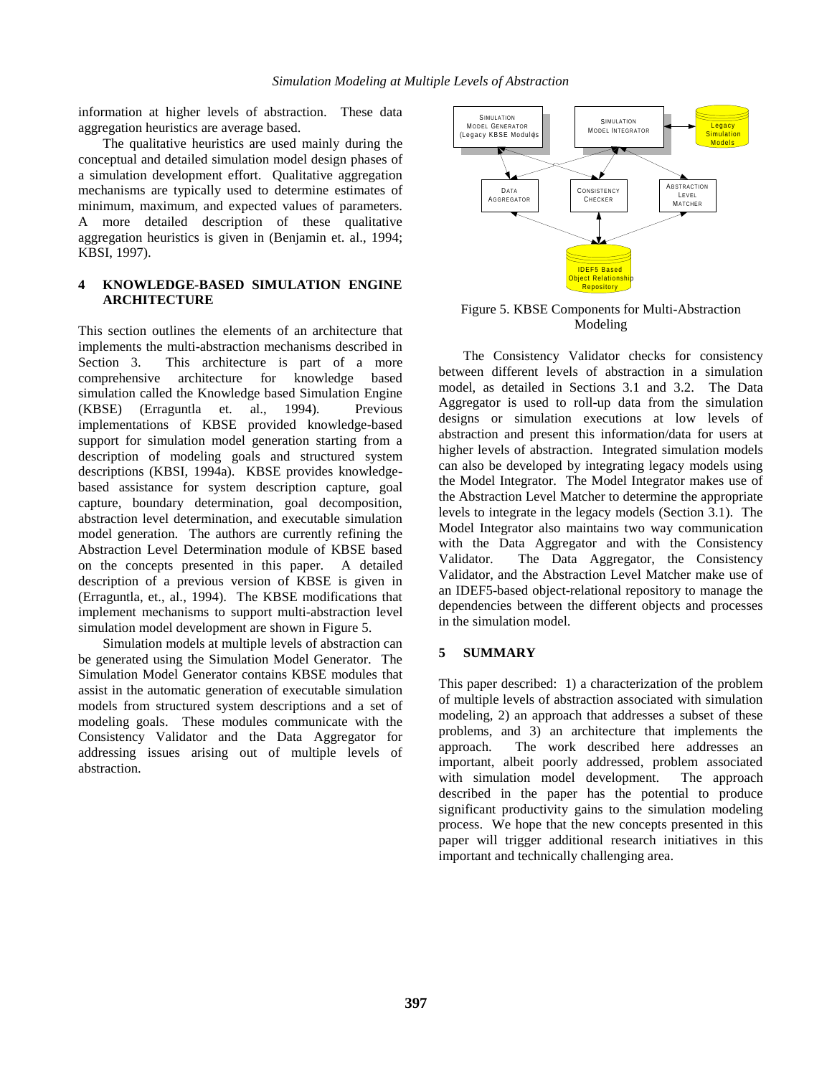information at higher levels of abstraction. These data aggregation heuristics are average based.

The qualitative heuristics are used mainly during the conceptual and detailed simulation model design phases of a simulation development effort. Qualitative aggregation mechanisms are typically used to determine estimates of minimum, maximum, and expected values of parameters. A more detailed description of these qualitative aggregation heuristics is given in (Benjamin et. al., 1994; KBSI, 1997).

# **4 KNOWLEDGE-BASED SIMULATION ENGINE ARCHITECTURE**

This section outlines the elements of an architecture that implements the multi-abstraction mechanisms described in Section 3. This architecture is part of a more comprehensive architecture for knowledge based simulation called the Knowledge based Simulation Engine (KBSE) (Erraguntla et. al., 1994). Previous implementations of KBSE provided knowledge-based support for simulation model generation starting from a description of modeling goals and structured system descriptions (KBSI, 1994a). KBSE provides knowledgebased assistance for system description capture, goal capture, boundary determination, goal decomposition, abstraction level determination, and executable simulation model generation. The authors are currently refining the Abstraction Level Determination module of KBSE based on the concepts presented in this paper. A detailed description of a previous version of KBSE is given in (Erraguntla, et., al., 1994). The KBSE modifications that implement mechanisms to support multi-abstraction level simulation model development are shown in Figure 5.

Simulation models at multiple levels of abstraction can be generated using the Simulation Model Generator. The Simulation Model Generator contains KBSE modules that assist in the automatic generation of executable simulation models from structured system descriptions and a set of modeling goals. These modules communicate with the Consistency Validator and the Data Aggregator for addressing issues arising out of multiple levels of abstraction.



Figure 5. KBSE Components for Multi-Abstraction Modeling

The Consistency Validator checks for consistency between different levels of abstraction in a simulation model, as detailed in Sections 3.1 and 3.2. The Data Aggregator is used to roll-up data from the simulation designs or simulation executions at low levels of abstraction and present this information/data for users at higher levels of abstraction. Integrated simulation models can also be developed by integrating legacy models using the Model Integrator. The Model Integrator makes use of the Abstraction Level Matcher to determine the appropriate levels to integrate in the legacy models (Section 3.1). The Model Integrator also maintains two way communication with the Data Aggregator and with the Consistency Validator. The Data Aggregator, the Consistency Validator, and the Abstraction Level Matcher make use of an IDEF5-based object-relational repository to manage the dependencies between the different objects and processes in the simulation model.

# **5 SUMMARY**

This paper described: 1) a characterization of the problem of multiple levels of abstraction associated with simulation modeling, 2) an approach that addresses a subset of these problems, and 3) an architecture that implements the approach. The work described here addresses an important, albeit poorly addressed, problem associated with simulation model development. The approach described in the paper has the potential to produce significant productivity gains to the simulation modeling process. We hope that the new concepts presented in this paper will trigger additional research initiatives in this important and technically challenging area.